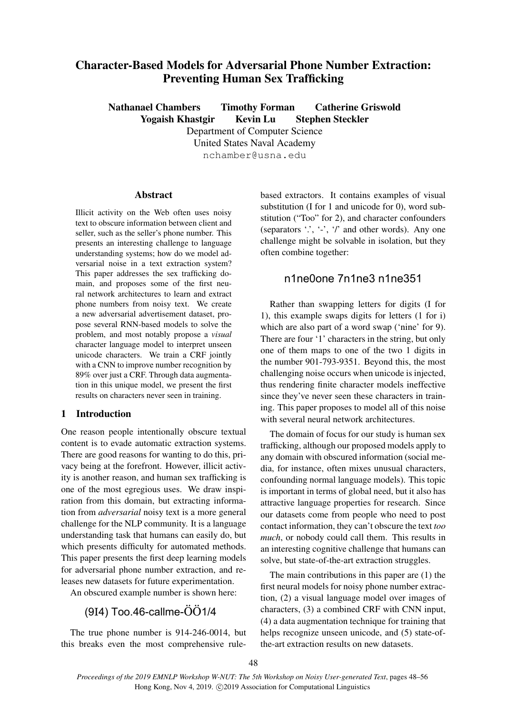# Character-Based Models for Adversarial Phone Number Extraction: Preventing Human Sex Trafficking

Nathanael Chambers Timothy Forman Catherine Griswold Yogaish Khastgir Kevin Lu Stephen Steckler Department of Computer Science United States Naval Academy

nchamber@usna.edu

# Abstract

Illicit activity on the Web often uses noisy text to obscure information between client and seller, such as the seller's phone number. This presents an interesting challenge to language understanding systems; how do we model adversarial noise in a text extraction system? This paper addresses the sex trafficking domain, and proposes some of the first neural network architectures to learn and extract phone numbers from noisy text. We create a new adversarial advertisement dataset, propose several RNN-based models to solve the problem, and most notably propose a *visual* character language model to interpret unseen unicode characters. We train a CRF jointly with a CNN to improve number recognition by 89% over just a CRF. Through data augmentation in this unique model, we present the first results on characters never seen in training.

# 1 Introduction

One reason people intentionally obscure textual content is to evade automatic extraction systems. There are good reasons for wanting to do this, privacy being at the forefront. However, illicit activity is another reason, and human sex trafficking is one of the most egregious uses. We draw inspiration from this domain, but extracting information from *adversarial* noisy text is a more general challenge for the NLP community. It is a language understanding task that humans can easily do, but which presents difficulty for automated methods. This paper presents the first deep learning models for adversarial phone number extraction, and releases new datasets for future experimentation.

An obscured example number is shown here:

# (9I4) Too.46-callme-ÖÖ1/4

The true phone number is 914-246-0014, but this breaks even the most comprehensive rulebased extractors. It contains examples of visual substitution (I for 1 and unicode for 0), word substitution ("Too" for 2), and character confounders (separators '.', '-', '/' and other words). Any one challenge might be solvable in isolation, but they often combine together:

# n1ne0one 7n1ne3 n1ne351

Rather than swapping letters for digits (I for 1), this example swaps digits for letters (1 for i) which are also part of a word swap ('nine' for 9). There are four '1' characters in the string, but only one of them maps to one of the two 1 digits in the number 901-793-9351. Beyond this, the most challenging noise occurs when unicode is injected, thus rendering finite character models ineffective since they've never seen these characters in training. This paper proposes to model all of this noise with several neural network architectures.

The domain of focus for our study is human sex trafficking, although our proposed models apply to any domain with obscured information (social media, for instance, often mixes unusual characters, confounding normal language models). This topic is important in terms of global need, but it also has attractive language properties for research. Since our datasets come from people who need to post contact information, they can't obscure the text *too much*, or nobody could call them. This results in an interesting cognitive challenge that humans can solve, but state-of-the-art extraction struggles.

The main contributions in this paper are (1) the first neural models for noisy phone number extraction, (2) a visual language model over images of characters, (3) a combined CRF with CNN input, (4) a data augmentation technique for training that helps recognize unseen unicode, and  $(5)$  state-ofthe-art extraction results on new datasets.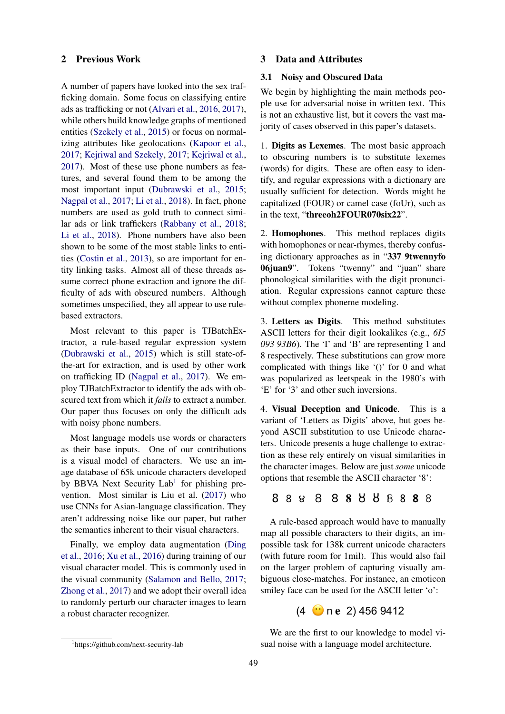# 2 Previous Work

A number of papers have looked into the sex trafficking domain. Some focus on classifying entire ads as trafficking or not [\(Alvari et al.,](#page-8-0) [2016,](#page-8-0) [2017\)](#page-8-1), while others build knowledge graphs of mentioned entities [\(Szekely et al.,](#page-8-2) [2015\)](#page-8-2) or focus on normalizing attributes like geolocations [\(Kapoor et al.,](#page-8-3) [2017;](#page-8-3) [Kejriwal and Szekely,](#page-8-4) [2017;](#page-8-4) [Kejriwal et al.,](#page-8-5) [2017\)](#page-8-5). Most of these use phone numbers as features, and several found them to be among the most important input [\(Dubrawski et al.,](#page-8-6) [2015;](#page-8-6) [Nagpal et al.,](#page-8-7) [2017;](#page-8-7) [Li et al.,](#page-8-8) [2018\)](#page-8-8). In fact, phone numbers are used as gold truth to connect similar ads or link traffickers [\(Rabbany et al.,](#page-8-9) [2018;](#page-8-9) [Li et al.,](#page-8-8) [2018\)](#page-8-8). Phone numbers have also been shown to be some of the most stable links to entities [\(Costin et al.,](#page-8-10) [2013\)](#page-8-10), so are important for entity linking tasks. Almost all of these threads assume correct phone extraction and ignore the difficulty of ads with obscured numbers. Although sometimes unspecified, they all appear to use rulebased extractors.

Most relevant to this paper is TJBatchExtractor, a rule-based regular expression system [\(Dubrawski et al.,](#page-8-6) [2015\)](#page-8-6) which is still state-ofthe-art for extraction, and is used by other work on trafficking ID [\(Nagpal et al.,](#page-8-7) [2017\)](#page-8-7). We employ TJBatchExtractor to identify the ads with obscured text from which it *fails* to extract a number. Our paper thus focuses on only the difficult ads with noisy phone numbers.

Most language models use words or characters as their base inputs. One of our contributions is a visual model of characters. We use an image database of 65k unicode characters developed by BBVA Next Security Lab<sup>[1](#page-1-0)</sup> for phishing prevention. Most similar is Liu et al. [\(2017\)](#page-8-11) who use CNNs for Asian-language classification. They aren't addressing noise like our paper, but rather the semantics inherent to their visual characters.

Finally, we employ data augmentation [\(Ding](#page-8-12) [et al.,](#page-8-12) [2016;](#page-8-12) [Xu et al.,](#page-8-13) [2016\)](#page-8-13) during training of our visual character model. This is commonly used in the visual community [\(Salamon and Bello,](#page-8-14) [2017;](#page-8-14) [Zhong et al.,](#page-8-15) [2017\)](#page-8-15) and we adopt their overall idea to randomly perturb our character images to learn a robust character recognizer.

### 3 Data and Attributes

#### 3.1 Noisy and Obscured Data

We begin by highlighting the main methods people use for adversarial noise in written text. This is not an exhaustive list, but it covers the vast majority of cases observed in this paper's datasets.

1. Digits as Lexemes. The most basic approach to obscuring numbers is to substitute lexemes (words) for digits. These are often easy to identify, and regular expressions with a dictionary are usually sufficient for detection. Words might be capitalized (FOUR) or camel case (foUr), such as in the text, "threeoh2FOUR070six22".

2. Homophones. This method replaces digits with homophones or near-rhymes, thereby confusing dictionary approaches as in "337 9twennyfo 06juan9". Tokens "twenny" and "juan" share phonological similarities with the digit pronunciation. Regular expressions cannot capture these without complex phoneme modeling.

3. Letters as Digits. This method substitutes ASCII letters for their digit lookalikes (e.g., *6I5 093 93B6*). The 'I' and 'B' are representing 1 and 8 respectively. These substitutions can grow more complicated with things like '()' for 0 and what was popularized as leetspeak in the 1980's with 'E' for '3' and other such inversions.

4. Visual Deception and Unicode. This is a variant of 'Letters as Digits' above, but goes beyond ASCII substitution to use Unicode characters. Unicode presents a huge challenge to extraction as these rely entirely on visual similarities in the character images. Below are just *some* unicode options that resemble the ASCII character '8':

# 8 ! ! ! *!* 𝟖 Ȣ ȣ 𝟠 𝟪 𝟴 𝟾

A rule-based approach would have to manually map all possible characters to their digits, an impossible task for 138k current unicode characters (with future room for 1mil). This would also fail on the larger problem of capturing visually ambiguous close-matches. For instance, an emoticon smiley face can be used for the ASCII letter 'o':

# (4 !𝐞 2) 456 9412

We are the first to our knowledge to model visual noise with a language model architecture.

<span id="page-1-0"></span><sup>1</sup> https://github.com/next-security-lab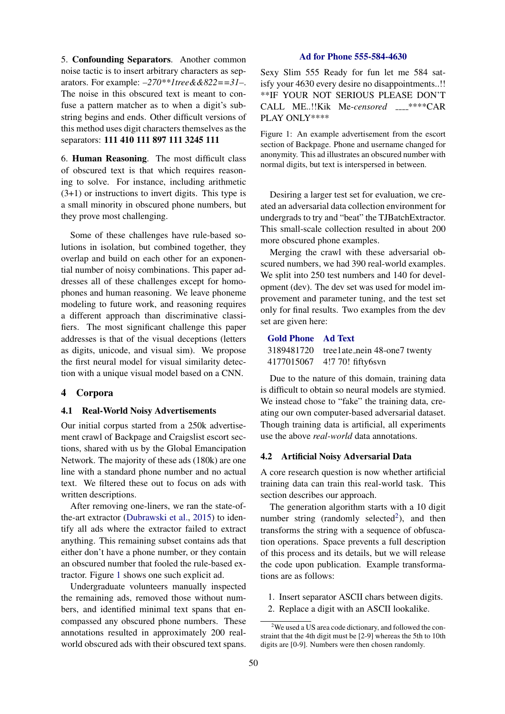5. Confounding Separators. Another common noise tactic is to insert arbitrary characters as separators. For example: *–270\*\*1tree&&822==31–*. The noise in this obscured text is meant to confuse a pattern matcher as to when a digit's substring begins and ends. Other difficult versions of this method uses digit characters themselves as the separators: 111 410 111 897 111 3245 111

6. Human Reasoning. The most difficult class of obscured text is that which requires reasoning to solve. For instance, including arithmetic (3+1) or instructions to invert digits. This type is a small minority in obscured phone numbers, but they prove most challenging.

Some of these challenges have rule-based solutions in isolation, but combined together, they overlap and build on each other for an exponential number of noisy combinations. This paper addresses all of these challenges except for homophones and human reasoning. We leave phoneme modeling to future work, and reasoning requires a different approach than discriminative classifiers. The most significant challenge this paper addresses is that of the visual deceptions (letters as digits, unicode, and visual sim). We propose the first neural model for visual similarity detection with a unique visual model based on a CNN.

# 4 Corpora

#### <span id="page-2-3"></span>4.1 Real-World Noisy Advertisements

Our initial corpus started from a 250k advertisement crawl of Backpage and Craigslist escort sections, shared with us by the Global Emancipation Network. The majority of these ads (180k) are one line with a standard phone number and no actual text. We filtered these out to focus on ads with written descriptions.

After removing one-liners, we ran the state-ofthe-art extractor [\(Dubrawski et al.,](#page-8-6) [2015\)](#page-8-6) to identify all ads where the extractor failed to extract anything. This remaining subset contains ads that either don't have a phone number, or they contain an obscured number that fooled the rule-based extractor. Figure [1](#page-2-0) shows one such explicit ad.

Undergraduate volunteers manually inspected the remaining ads, removed those without numbers, and identified minimal text spans that encompassed any obscured phone numbers. These annotations resulted in approximately 200 realworld obscured ads with their obscured text spans.

# Ad for Phone 555-584-4630

<span id="page-2-0"></span>Sexy Slim 555 Ready for fun let me 584 satisfy your 4630 every desire no disappointments..!! \*\*IF YOUR NOT SERIOUS PLEASE DON'T CALL ME..!!Kik Me-censored \_\_\_\*\*\*\*CAR PLAY ONLY\*\*\*\*

Figure 1: An example advertisement from the escort section of Backpage. Phone and username changed for anonymity. This ad illustrates an obscured number with normal digits, but text is interspersed in between.

Desiring a larger test set for evaluation, we created an adversarial data collection environment for undergrads to try and "beat" the TJBatchExtractor. This small-scale collection resulted in about 200 more obscured phone examples.

Merging the crawl with these adversarial obscured numbers, we had 390 real-world examples. We split into 250 test numbers and 140 for development (dev). The dev set was used for model improvement and parameter tuning, and the test set only for final results. Two examples from the dev set are given here:

# Gold Phone Ad Text

| 3189481720 tree1ate_nein 48-one7 twenty |
|-----------------------------------------|
| 4177015067 4!7 70! fifty6svn            |

Due to the nature of this domain, training data is difficult to obtain so neural models are stymied. We instead chose to "fake" the training data, creating our own computer-based adversarial dataset. Though training data is artificial, all experiments use the above *real-world* data annotations.

#### <span id="page-2-2"></span>4.2 Artificial Noisy Adversarial Data

A core research question is now whether artificial training data can train this real-world task. This section describes our approach.

The generation algorithm starts with a 10 digit number string (randomly selected<sup>[2](#page-2-1)</sup>), and then transforms the string with a sequence of obfuscation operations. Space prevents a full description of this process and its details, but we will release the code upon publication. Example transformations are as follows:

- 1. Insert separator ASCII chars between digits.
- 2. Replace a digit with an ASCII lookalike.

<span id="page-2-1"></span> $2$ We used a US area code dictionary, and followed the constraint that the 4th digit must be [2-9] whereas the 5th to 10th digits are [0-9]. Numbers were then chosen randomly.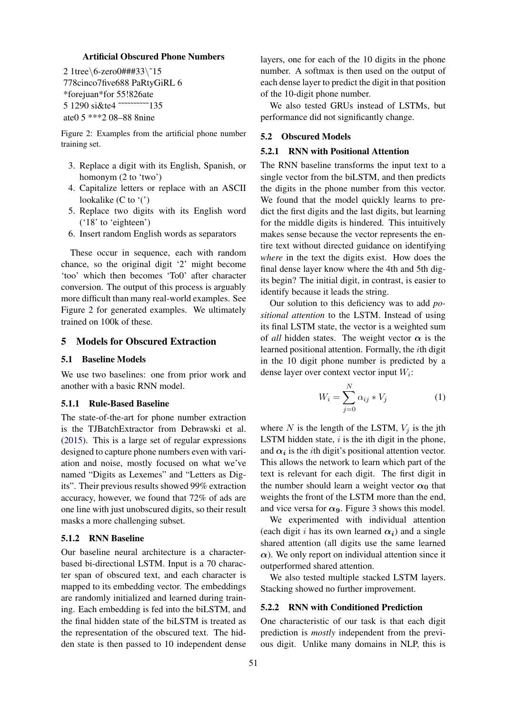### Artificial Obscured Phone Numbers

<span id="page-3-0"></span>2 1tree\6-zero0###33\˜15 778cinco7five688 PaRtyGiRL 6 \*forejuan\*for 55!826ate 5 1290 si&te4 ~~~~~~~~~~~~135 ate0 5 \*\*\*2 08–88 8nine

Figure 2: Examples from the artificial phone number training set.

- 3. Replace a digit with its English, Spanish, or homonym (2 to 'two')
- 4. Capitalize letters or replace with an ASCII lookalike (C to '(')
- 5. Replace two digits with its English word ('18' to 'eighteen')
- 6. Insert random English words as separators

These occur in sequence, each with random chance, so the original digit '2' might become 'too' which then becomes 'To0' after character conversion. The output of this process is arguably more difficult than many real-world examples. See Figure [2](#page-3-0) for generated examples. We ultimately trained on 100k of these.

# 5 Models for Obscured Extraction

# 5.1 Baseline Models

We use two baselines: one from prior work and another with a basic RNN model.

#### 5.1.1 Rule-Based Baseline

The state-of-the-art for phone number extraction is the TJBatchExtractor from Debrawski et al. [\(2015\)](#page-8-6). This is a large set of regular expressions designed to capture phone numbers even with variation and noise, mostly focused on what we've named "Digits as Lexemes" and "Letters as Digits". Their previous results showed 99% extraction accuracy, however, we found that 72% of ads are one line with just unobscured digits, so their result masks a more challenging subset.

# <span id="page-3-2"></span>5.1.2 RNN Baseline

Our baseline neural architecture is a characterbased bi-directional LSTM. Input is a 70 character span of obscured text, and each character is mapped to its embedding vector. The embeddings are randomly initialized and learned during training. Each embedding is fed into the biLSTM, and the final hidden state of the biLSTM is treated as the representation of the obscured text. The hidden state is then passed to 10 independent dense

layers, one for each of the 10 digits in the phone number. A softmax is then used on the output of each dense layer to predict the digit in that position of the 10-digit phone number.

We also tested GRUs instead of LSTMs, but performance did not significantly change.

# 5.2 Obscured Models

#### <span id="page-3-3"></span>5.2.1 RNN with Positional Attention

The RNN baseline transforms the input text to a single vector from the biLSTM, and then predicts the digits in the phone number from this vector. We found that the model quickly learns to predict the first digits and the last digits, but learning for the middle digits is hindered. This intuitively makes sense because the vector represents the entire text without directed guidance on identifying *where* in the text the digits exist. How does the final dense layer know where the 4th and 5th digits begin? The initial digit, in contrast, is easier to identify because it leads the string.

Our solution to this deficiency was to add *positional attention* to the LSTM. Instead of using its final LSTM state, the vector is a weighted sum of *all* hidden states. The weight vector  $\alpha$  is the learned positional attention. Formally, the ith digit in the 10 digit phone number is predicted by a dense layer over context vector input  $W_i$ :

$$
W_i = \sum_{j=0}^{N} \alpha_{ij} * V_j \tag{1}
$$

where N is the length of the LSTM,  $V_i$  is the jth LSTM hidden state,  $i$  is the ith digit in the phone, and  $\alpha_i$  is the *i*th digit's positional attention vector. This allows the network to learn which part of the text is relevant for each digit. The first digit in the number should learn a weight vector  $\alpha_0$  that weights the front of the LSTM more than the end, and vice versa for  $\alpha_9$ . Figure [3](#page-4-0) shows this model.

We experimented with individual attention (each digit i has its own learned  $\alpha_i$ ) and a single shared attention (all digits use the same learned  $\alpha$ ). We only report on individual attention since it outperformed shared attention.

We also tested multiple stacked LSTM layers. Stacking showed no further improvement.

#### <span id="page-3-1"></span>5.2.2 RNN with Conditioned Prediction

One characteristic of our task is that each digit prediction is *mostly* independent from the previous digit. Unlike many domains in NLP, this is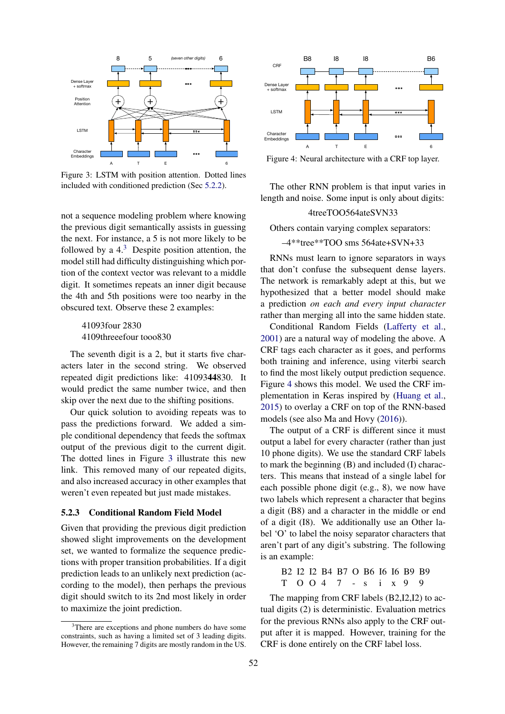<span id="page-4-0"></span>

Figure 3: LSTM with position attention. Dotted lines included with conditioned prediction (Sec [5.2.2\)](#page-3-1).

not a sequence modeling problem where knowing the previous digit semantically assists in guessing the next. For instance, a 5 is not more likely to be followed by a  $4<sup>3</sup>$  $4<sup>3</sup>$  $4<sup>3</sup>$  Despite position attention, the model still had difficulty distinguishing which portion of the context vector was relevant to a middle digit. It sometimes repeats an inner digit because the 4th and 5th positions were too nearby in the obscured text. Observe these 2 examples:

> 41093four 2830 4109threeefour tooo830

The seventh digit is a 2, but it starts five characters later in the second string. We observed repeated digit predictions like: 4109344830. It would predict the same number twice, and then skip over the next due to the shifting positions.

Our quick solution to avoiding repeats was to pass the predictions forward. We added a simple conditional dependency that feeds the softmax output of the previous digit to the current digit. The dotted lines in Figure [3](#page-4-0) illustrate this new link. This removed many of our repeated digits, and also increased accuracy in other examples that weren't even repeated but just made mistakes.

#### <span id="page-4-3"></span>5.2.3 Conditional Random Field Model

Given that providing the previous digit prediction showed slight improvements on the development set, we wanted to formalize the sequence predictions with proper transition probabilities. If a digit prediction leads to an unlikely next prediction (according to the model), then perhaps the previous digit should switch to its 2nd most likely in order to maximize the joint prediction.

<span id="page-4-2"></span>

Figure 4: Neural architecture with a CRF top layer.

The other RNN problem is that input varies in length and noise. Some input is only about digits:

#### 4treeTOO564ateSVN33

Others contain varying complex separators:

# –4\*\*tree\*\*TOO sms 564ate+SVN+33

RNNs must learn to ignore separators in ways that don't confuse the subsequent dense layers. The network is remarkably adept at this, but we hypothesized that a better model should make a prediction *on each and every input character* rather than merging all into the same hidden state.

Conditional Random Fields [\(Lafferty et al.,](#page-8-16) [2001\)](#page-8-16) are a natural way of modeling the above. A CRF tags each character as it goes, and performs both training and inference, using viterbi search to find the most likely output prediction sequence. Figure [4](#page-4-2) shows this model. We used the CRF implementation in Keras inspired by [\(Huang et al.,](#page-8-17) [2015\)](#page-8-17) to overlay a CRF on top of the RNN-based models (see also Ma and Hovy [\(2016\)](#page-8-18)).

The output of a CRF is different since it must output a label for every character (rather than just 10 phone digits). We use the standard CRF labels to mark the beginning (B) and included (I) characters. This means that instead of a single label for each possible phone digit (e.g., 8), we now have two labels which represent a character that begins a digit (B8) and a character in the middle or end of a digit (I8). We additionally use an Other label 'O' to label the noisy separator characters that aren't part of any digit's substring. The following is an example:

```
B2 I2 I2 B4 B7 O B6 I6 I6 B9 B9
T O O 4 7 - s i x 9 9
```
The mapping from CRF labels (B2,I2,I2) to actual digits (2) is deterministic. Evaluation metrics for the previous RNNs also apply to the CRF output after it is mapped. However, training for the CRF is done entirely on the CRF label loss.

<span id="page-4-1"></span><sup>&</sup>lt;sup>3</sup>There are exceptions and phone numbers do have some constraints, such as having a limited set of 3 leading digits. However, the remaining 7 digits are mostly random in the US.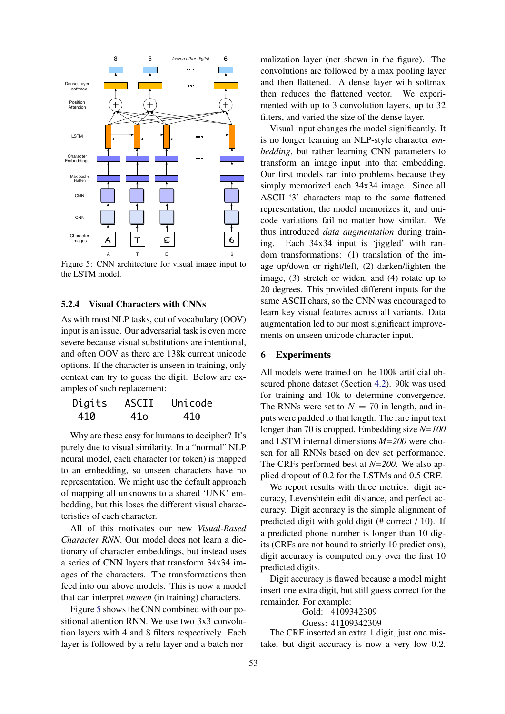<span id="page-5-0"></span>

Figure 5: CNN architecture for visual image input to the LSTM model.

### 5.2.4 Visual Characters with CNNs

As with most NLP tasks, out of vocabulary (OOV) input is an issue. Our adversarial task is even more severe because visual substitutions are intentional, and often OOV as there are 138k current unicode options. If the character is unseen in training, only context can try to guess the digit. Below are examples of such replacement:

| Digits | ASCII | Unicode |
|--------|-------|---------|
| 410    | 41o   | 410     |

Why are these easy for humans to decipher? It's purely due to visual similarity. In a "normal" NLP neural model, each character (or token) is mapped to an embedding, so unseen characters have no representation. We might use the default approach of mapping all unknowns to a shared 'UNK' embedding, but this loses the different visual characteristics of each character.

All of this motivates our new *Visual-Based Character RNN*. Our model does not learn a dictionary of character embeddings, but instead uses a series of CNN layers that transform 34x34 images of the characters. The transformations then feed into our above models. This is now a model that can interpret *unseen* (in training) characters.

Figure [5](#page-5-0) shows the CNN combined with our positional attention RNN. We use two 3x3 convolution layers with 4 and 8 filters respectively. Each layer is followed by a relu layer and a batch nor-

malization layer (not shown in the figure). The convolutions are followed by a max pooling layer and then flattened. A dense layer with softmax then reduces the flattened vector. We experimented with up to 3 convolution layers, up to 32 filters, and varied the size of the dense layer.

Visual input changes the model significantly. It is no longer learning an NLP-style character *embedding*, but rather learning CNN parameters to transform an image input into that embedding. Our first models ran into problems because they simply memorized each 34x34 image. Since all ASCII '3' characters map to the same flattened representation, the model memorizes it, and unicode variations fail no matter how similar. We thus introduced *data augmentation* during training. Each 34x34 input is 'jiggled' with random transformations: (1) translation of the image up/down or right/left, (2) darken/lighten the image, (3) stretch or widen, and (4) rotate up to 20 degrees. This provided different inputs for the same ASCII chars, so the CNN was encouraged to learn key visual features across all variants. Data augmentation led to our most significant improvements on unseen unicode character input.

# 6 Experiments

All models were trained on the 100k artificial obscured phone dataset (Section [4.2\)](#page-2-2). 90k was used for training and 10k to determine convergence. The RNNs were set to  $N = 70$  in length, and inputs were padded to that length. The rare input text longer than 70 is cropped. Embedding size *N=100* and LSTM internal dimensions *M=200* were chosen for all RNNs based on dev set performance. The CRFs performed best at *N=200*. We also applied dropout of 0.2 for the LSTMs and 0.5 CRF.

We report results with three metrics: digit accuracy, Levenshtein edit distance, and perfect accuracy. Digit accuracy is the simple alignment of predicted digit with gold digit (# correct / 10). If a predicted phone number is longer than 10 digits (CRFs are not bound to strictly 10 predictions), digit accuracy is computed only over the first 10 predicted digits.

Digit accuracy is flawed because a model might insert one extra digit, but still guess correct for the remainder. For example:

> Gold: 4109342309 Guess: 41109342309

The CRF inserted an extra 1 digit, just one mistake, but digit accuracy is now a very low 0.2.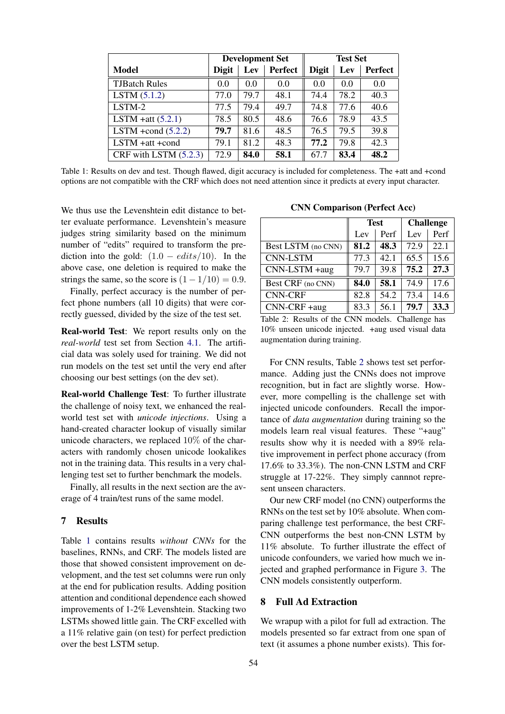<span id="page-6-0"></span>

|                         | <b>Development Set</b> |      |                | <b>Test Set</b> |      |                |
|-------------------------|------------------------|------|----------------|-----------------|------|----------------|
| Model                   | <b>Digit</b>           | Lev  | <b>Perfect</b> | <b>Digit</b>    | Lev  | <b>Perfect</b> |
| <b>TJBatch Rules</b>    | 0.0                    | 0.0  | 0.0            | 0.0             | 0.0  | 0.0            |
| LSTM (5.1.2)            | 77.0                   | 79.7 | 48.1           | 74.4            | 78.2 | 40.3           |
| LSTM-2                  | 77.5                   | 79.4 | 49.7           | 74.8            | 77.6 | 40.6           |
| LSTM +att $(5.2.1)$     | 78.5                   | 80.5 | 48.6           | 76.6            | 78.9 | 43.5           |
| LSTM +cond $(5.2.2)$    | 79.7                   | 81.6 | 48.5           | 76.5            | 79.5 | 39.8           |
| LSTM +att +cond         | 79.1                   | 81.2 | 48.3           | 77.2            | 79.8 | 42.3           |
| CRF with LSTM $(5.2.3)$ | 72.9                   | 84.0 | 58.1           | 67.7            | 83.4 | 48.2           |

Table 1: Results on dev and test. Though flawed, digit accuracy is included for completeness. The +att and +cond options are not compatible with the CRF which does not need attention since it predicts at every input character.

We thus use the Levenshtein edit distance to better evaluate performance. Levenshtein's measure judges string similarity based on the minimum number of "edits" required to transform the prediction into the gold:  $(1.0 - edits/10)$ . In the above case, one deletion is required to make the strings the same, so the score is  $(1 - 1/10) = 0.9$ .

Finally, perfect accuracy is the number of perfect phone numbers (all 10 digits) that were correctly guessed, divided by the size of the test set.

Real-world Test: We report results only on the *real-world* test set from Section [4.1.](#page-2-3) The artificial data was solely used for training. We did not run models on the test set until the very end after choosing our best settings (on the dev set).

Real-world Challenge Test: To further illustrate the challenge of noisy text, we enhanced the realworld test set with *unicode injections*. Using a hand-created character lookup of visually similar unicode characters, we replaced 10% of the characters with randomly chosen unicode lookalikes not in the training data. This results in a very challenging test set to further benchmark the models.

Finally, all results in the next section are the average of 4 train/test runs of the same model.

# 7 Results

Table [1](#page-6-0) contains results *without CNNs* for the baselines, RNNs, and CRF. The models listed are those that showed consistent improvement on development, and the test set columns were run only at the end for publication results. Adding position attention and conditional dependence each showed improvements of 1-2% Levenshtein. Stacking two LSTMs showed little gain. The CRF excelled with a 11% relative gain (on test) for perfect prediction over the best LSTM setup.

CNN Comparison (Perfect Acc)

<span id="page-6-1"></span>

|                    | <b>Test</b> |      | <b>Challenge</b> |      |
|--------------------|-------------|------|------------------|------|
|                    | Lev         | Perf | Lev              | Perf |
| Best LSTM (no CNN) | 81.2        | 48.3 | 72.9             | 22.1 |
| <b>CNN-LSTM</b>    | 77.3        | 42.1 | 65.5             | 15.6 |
| CNN-LSTM +aug      | 79.7        | 39.8 | 75.2             | 27.3 |
| Best CRF (no CNN)  | 84.0        | 58.1 | 74.9             | 17.6 |
| <b>CNN-CRF</b>     | 82.8        | 54.2 | 73.4             | 14.6 |
| $CNN-CRF + aug$    | 83.3        | 56.1 | 79.7             | 33.3 |

Table 2: Results of the CNN models. Challenge has 10% unseen unicode injected. +aug used visual data augmentation during training.

For CNN results, Table [2](#page-6-1) shows test set performance. Adding just the CNNs does not improve recognition, but in fact are slightly worse. However, more compelling is the challenge set with injected unicode confounders. Recall the importance of *data augmentation* during training so the models learn real visual features. These "+aug" results show why it is needed with a 89% relative improvement in perfect phone accuracy (from 17.6% to 33.3%). The non-CNN LSTM and CRF struggle at 17-22%. They simply cannnot represent unseen characters.

Our new CRF model (no CNN) outperforms the RNNs on the test set by 10% absolute. When comparing challenge test performance, the best CRF-CNN outperforms the best non-CNN LSTM by 11% absolute. To further illustrate the effect of unicode confounders, we varied how much we injected and graphed performance in Figure [3.](#page-7-0) The CNN models consistently outperform.

# 8 Full Ad Extraction

We wrapup with a pilot for full ad extraction. The models presented so far extract from one span of text (it assumes a phone number exists). This for-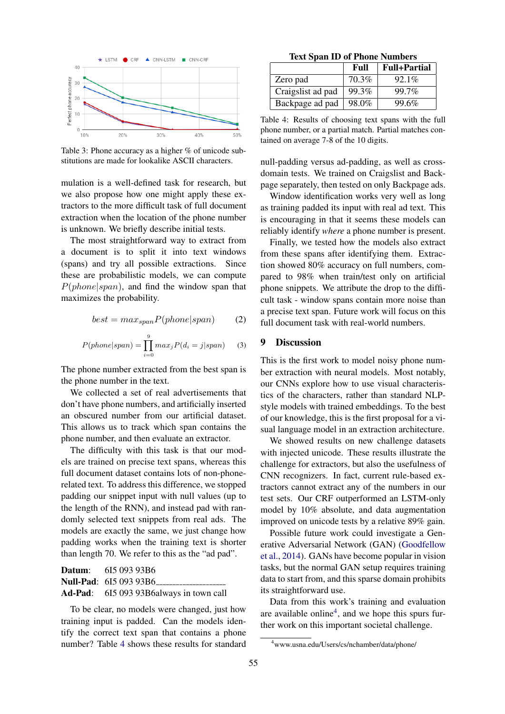<span id="page-7-0"></span>

Table 3: Phone accuracy as a higher % of unicode substitutions are made for lookalike ASCII characters.

mulation is a well-defined task for research, but we also propose how one might apply these extractors to the more difficult task of full document extraction when the location of the phone number is unknown. We briefly describe initial tests.

The most straightforward way to extract from a document is to split it into text windows (spans) and try all possible extractions. Since these are probabilistic models, we can compute  $P(phone|span)$ , and find the window span that maximizes the probability.

$$
best = max_{span} P(phone|span)
$$
 (2)

$$
P(phone|span) = \prod_{i=0}^{9} max_j P(d_i = j|span)
$$
 (3)

The phone number extracted from the best span is the phone number in the text.

We collected a set of real advertisements that don't have phone numbers, and artificially inserted an obscured number from our artificial dataset. This allows us to track which span contains the phone number, and then evaluate an extractor.

The difficulty with this task is that our models are trained on precise text spans, whereas this full document dataset contains lots of non-phonerelated text. To address this difference, we stopped padding our snippet input with null values (up to the length of the RNN), and instead pad with randomly selected text snippets from real ads. The models are exactly the same, we just change how padding works when the training text is shorter than length 70. We refer to this as the "ad pad".

| <b>Datum:</b> 615 093 93B6              |
|-----------------------------------------|
| Null-Pad: 615 093 93B6                  |
| Ad-Pad: 615 093 93B6always in town call |

To be clear, no models were changed, just how training input is padded. Can the models identify the correct text span that contains a phone number? Table [4](#page-7-1) shows these results for standard

Text Span ID of Phone Numbers

<span id="page-7-1"></span>

|                   | Full  | <b>Full+Partial</b> |
|-------------------|-------|---------------------|
| Zero pad          | 70.3% | $92.1\%$            |
| Craigslist ad pad | 99.3% | 99.7%               |
| Backpage ad pad   | 98.0% | 99.6%               |

Table 4: Results of choosing text spans with the full phone number, or a partial match. Partial matches contained on average 7-8 of the 10 digits.

null-padding versus ad-padding, as well as crossdomain tests. We trained on Craigslist and Backpage separately, then tested on only Backpage ads.

Window identification works very well as long as training padded its input with real ad text. This is encouraging in that it seems these models can reliably identify *where* a phone number is present.

Finally, we tested how the models also extract from these spans after identifying them. Extraction showed 80% accuracy on full numbers, compared to 98% when train/test only on artificial phone snippets. We attribute the drop to the difficult task - window spans contain more noise than a precise text span. Future work will focus on this full document task with real-world numbers.

#### 9 Discussion

This is the first work to model noisy phone number extraction with neural models. Most notably, our CNNs explore how to use visual characteristics of the characters, rather than standard NLPstyle models with trained embeddings. To the best of our knowledge, this is the first proposal for a visual language model in an extraction architecture.

We showed results on new challenge datasets with injected unicode. These results illustrate the challenge for extractors, but also the usefulness of CNN recognizers. In fact, current rule-based extractors cannot extract any of the numbers in our test sets. Our CRF outperformed an LSTM-only model by 10% absolute, and data augmentation improved on unicode tests by a relative 89% gain.

Possible future work could investigate a Generative Adversarial Network (GAN) [\(Goodfellow](#page-8-19) [et al.,](#page-8-19) [2014\)](#page-8-19). GANs have become popular in vision tasks, but the normal GAN setup requires training data to start from, and this sparse domain prohibits its straightforward use.

Data from this work's training and evaluation are available online<sup>[4](#page-7-2)</sup>, and we hope this spurs further work on this important societal challenge.

<span id="page-7-2"></span><sup>4</sup>www.usna.edu/Users/cs/nchamber/data/phone/